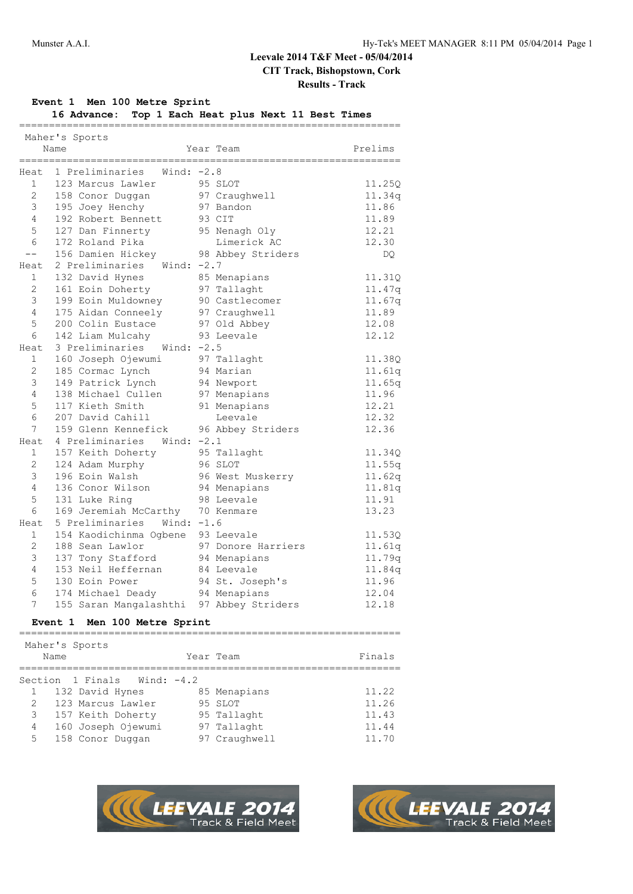**Results - Track**

## **Event 1 Men 100 Metre Sprint**

**16 Advance: Top 1 Each Heat plus Next 11 Best Times**

|                       | Maher's Sports<br>Name                                               | Year Team          | Prelims |
|-----------------------|----------------------------------------------------------------------|--------------------|---------|
|                       | ____________________________<br>Heat 1 Preliminaries<br>Wind: $-2.8$ | =============      |         |
| 1                     | 123 Marcus Lawler                                                    | 95 SLOT            | 11.25Q  |
| $\mathbf{2}^{\prime}$ | 158 Conor Duggan                                                     | 97 Craughwell      | 11.34q  |
| 3                     | 195 Joey Henchy                                                      | 97 Bandon          | 11.86   |
| 4                     | 192 Robert Bennett                                                   | 93 CIT             | 11.89   |
| 5                     | 127 Dan Finnerty                                                     | 95 Nenagh Oly      | 12.21   |
| $\epsilon$            | 172 Roland Pika                                                      | Limerick AC        | 12.30   |
| $- -$                 | 156 Damien Hickey                                                    | 98 Abbey Striders  | DQ.     |
| Heat                  | Wind: $-2.7$<br>2 Preliminaries                                      |                    |         |
| $\mathbf{1}$          | 132 David Hynes                                                      | 85 Menapians       | 11.31Q  |
| 2                     | 161 Eoin Doherty                                                     | 97 Tallaght        | 11.47q  |
| $\mathfrak{Z}$        | 199 Eoin Muldowney                                                   | 90 Castlecomer     | 11.67q  |
| $\overline{4}$        | 175 Aidan Conneely                                                   | 97 Craughwell      | 11.89   |
| 5                     | 200 Colin Eustace                                                    | 97 Old Abbey       | 12.08   |
| 6                     | 142 Liam Mulcahy                                                     | 93 Leevale         | 12.12   |
| Heat                  | 3 Preliminaries Wind: -2.5                                           |                    |         |
| $\mathbf{1}$          | 160 Joseph Ojewumi                                                   | 97 Tallaght        | 11.38Q  |
| $\mathbf{2}$          | 185 Cormac Lynch                                                     | 94 Marian          | 11.61q  |
| $\mathsf 3$           | 149 Patrick Lynch                                                    | 94 Newport         | 11.65q  |
| 4                     | 138 Michael Cullen                                                   | 97 Menapians       | 11.96   |
| 5                     | 117 Kieth Smith                                                      | 91 Menapians       | 12.21   |
| 6                     | 207 David Cahill                                                     | Leevale            | 12.32   |
| 7                     | 159 Glenn Kennefick                                                  | 96 Abbey Striders  | 12.36   |
| Heat                  | 4 Preliminaries<br>Wind: $-2.1$                                      |                    |         |
| $\mathbf{1}$          | 157 Keith Doherty                                                    | 95 Tallaght        | 11.34Q  |
| $\mathbf{2}$          | 124 Adam Murphy                                                      | 96 SLOT            | 11.55q  |
| 3                     | 196 Eoin Walsh                                                       | 96 West Muskerry   | 11.62q  |
| 4                     | 136 Conor Wilson                                                     | 94 Menapians       | 11.81q  |
| 5                     | 131 Luke Ring                                                        | 98 Leevale         | 11.91   |
| 6                     | 169 Jeremiah McCarthy                                                | 70 Kenmare         | 13.23   |
| Heat                  | 5 Preliminaries Wind: -1.6                                           |                    |         |
| $\mathbf{1}$          | 154 Kaodichinma Ogbene 93 Leevale                                    |                    | 11.53Q  |
| 2                     | 188 Sean Lawlor                                                      | 97 Donore Harriers | 11.61q  |
| 3                     | 137 Tony Stafford                                                    | 94 Menapians       | 11.79q  |
| 4                     | 153 Neil Heffernan                                                   | 84 Leevale         | 11.84q  |
| 5                     | 130 Eoin Power                                                       | 94 St. Joseph's    | 11.96   |
| 6                     | 174 Michael Deady                                                    | 94 Menapians       | 12.04   |
| 7                     | 155 Saran Mangalashthi 97 Abbey Striders                             |                    | 12.18   |
|                       | <b>Event 1</b><br>Men 100 Metre Sprint                               |                    |         |
|                       | Maher's Sports                                                       |                    |         |
|                       | Name                                                                 | Year Team          | Finals  |
| Section               | 1 Finals<br>Wind: $-4.2$                                             |                    |         |
| 1                     | 132 David Hynes                                                      | 85 Menapians       | 11.22   |
| 2                     | 123 Marcus Lawler                                                    | 95 SLOT            | 11.26   |
| 3                     | 157 Keith Doherty                                                    | 95 Tallaght        | 11.43   |

**Track & Field Meet** 

 4 160 Joseph Ojewumi 97 Tallaght 11.44 5 158 Conor Duggan 97 Craughwell 11.70

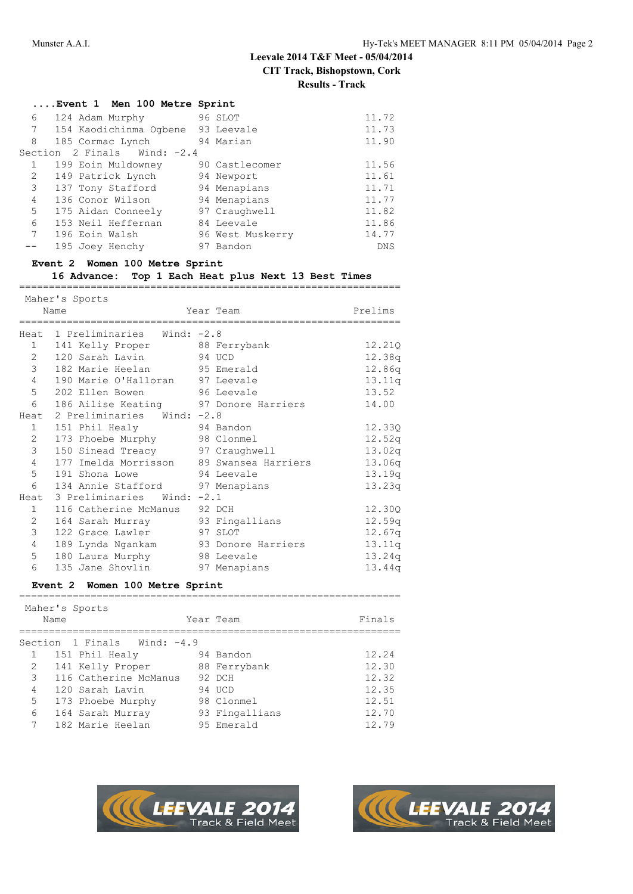|  |  | Event 1 Man 100 Matro Sprint |  |
|--|--|------------------------------|--|

|              | Event 1 men 100 metre sprint        |                  |            |
|--------------|-------------------------------------|------------------|------------|
| 6            | 124 Adam Murphy                     | 96 SLOT          | 11.72      |
|              | 7 154 Kaodichinma Ogbene 93 Leevale |                  | 11.73      |
| 8            | 185 Cormac Lynch                    | 94 Marian        | 11.90      |
|              | Section 2 Finals Wind: -2.4         |                  |            |
| $\mathbf{1}$ | 199 Eoin Muldowney                  | 90 Castlecomer   | 11.56      |
| $\mathbf{2}$ | 149 Patrick Lynch                   | 94 Newport       | 11.61      |
| 3            | 137 Tony Stafford                   | 94 Menapians     | 11.71      |
| 4            | 136 Conor Wilson                    | 94 Menapians     | 11.77      |
| 5            | 175 Aidan Conneely                  | 97 Craughwell    | 11.82      |
| 6            | 153 Neil Heffernan                  | 84 Leevale       | 11.86      |
| $7^{\circ}$  | 196 Eoin Walsh                      | 96 West Muskerry | 14.77      |
|              | 195 Joey Henchy                     | 97 Bandon        | <b>DNS</b> |
|              |                                     |                  |            |

#### **Event 2 Women 100 Metre Sprint**

#### **16 Advance: Top 1 Each Heat plus Next 13 Best Times**

================================================================

|                  | Maher's Sports                           |              |         |
|------------------|------------------------------------------|--------------|---------|
|                  | Name                                     | Year Team    | Prelims |
|                  | Heat 1 Preliminaries Wind: -2.8          |              |         |
|                  | 1 141 Kelly Proper                       | 88 Ferrybank | 12.210  |
| $2^{\circ}$      | 120 Sarah Lavin                          | 94 UCD       | 12.38q  |
| 3 <sup>7</sup>   | 182 Marie Heelan 95 Emerald              |              | 12.86q  |
| $\overline{4}$   | 190 Marie O'Halloran 97 Leevale          |              | 13.11q  |
| $5^{\circ}$      | 202 Ellen Bowen 56 Leevale               |              | 13.52   |
| 6                | 186 Ailise Keating 97 Donore Harriers    |              | 14.00   |
|                  | Heat 2 Preliminaries Wind: -2.8          |              |         |
| $1 \quad$        | 151 Phil Healy                           | 94 Bandon    | 12.330  |
| $2^{\circ}$      | 173 Phoebe Murphy 98 Clonmel             |              | 12.52q  |
| 3                | 150 Sinead Treacy 97 Craughwell          |              | 13.02q  |
| 4                | 177 Imelda Morrisson 89 Swansea Harriers |              | 13.06q  |
| 5                | 191 Shona Lowe                           | 94 Leevale   | 13.19q  |
| $6\overline{6}$  | 134 Annie Stafford 97 Menapians          |              | 13.23q  |
| Heat             | 3 Preliminaries Wind: -2.1               |              |         |
| 1                | 116 Catherine McManus 92 DCH             |              | 12.30Q  |
| $2^{\circ}$      | 164 Sarah Murray 93 Fingallians          |              | 12.59q  |
| 3                | 122 Grace Lawler                         | 97 SLOT      | 12.67q  |
| $4\degree$       | 189 Lynda Ngankam 93 Donore Harriers     |              | 13.11q  |
| $5 -$            | 180 Laura Murphy 98 Leevale              |              | 13.24q  |
| $6 \overline{6}$ | 135 Jane Shovlin                         | 97 Menapians | 13.44q  |
|                  | Event 2 Women 100 Metre Sprint           |              |         |
|                  | Maher's Sports                           |              |         |
|                  | Name                                     | Year Team    | Finals  |
|                  | Section 1 Finals Wind: -4.9              |              |         |
|                  | 1 151 Phil Healy 94 Bandon               |              | 12.24   |
|                  | 2 141 Kelly Proper 88 Ferrybank          |              | 12.30   |
|                  | 3 116 Catherine McManus 92 DCH           |              | 12.32   |
|                  | 1 120 Sarah Latrin 101 IICD              |              | 12.35   |





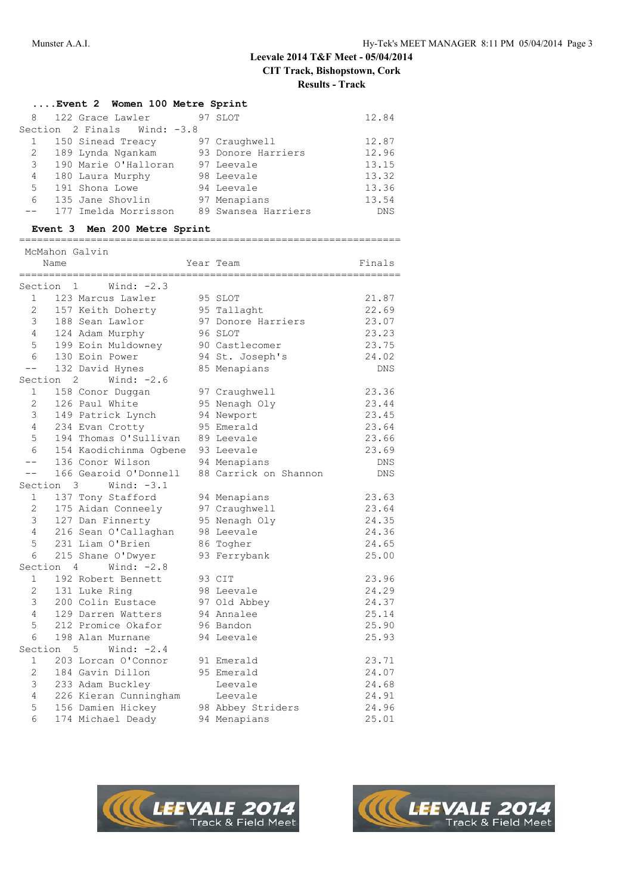#### **....Event 2 Women 100 Metre Sprint**

|                | 8 122 Grace Lawler          | 97 SLOT             | 12.84      |
|----------------|-----------------------------|---------------------|------------|
|                | Section 2 Finals Wind: -3.8 |                     |            |
|                | 150 Sinead Treacy           | 97 Craughwell       | 12.87      |
|                | 2 189 Lynda Ngankam         | 93 Donore Harriers  | 12.96      |
|                | 3 190 Marie O'Halloran      | 97 Leevale          | 13.15      |
| 4              | 180 Laura Murphy            | 98 Leevale          | 13.32      |
| 5 <sup>5</sup> | 191 Shona Lowe              | 94 Leevale          | 13.36      |
| 6              | 135 Jane Shovlin            | 97 Menapians        | 13.54      |
|                | 177 Imelda Morrisson        | 89 Swansea Harriers | <b>DNS</b> |

#### **Event 3 Men 200 Metre Sprint**

|                | Name | McMahon Galvin                 | Year Team             | Finals     |
|----------------|------|--------------------------------|-----------------------|------------|
| ==========     |      |                                | -------------         |            |
| Section        |      | Wind: $-2.3$<br>$\mathbf{1}$   |                       |            |
| $1 \quad$      |      | 123 Marcus Lawler              | 95 SLOT               | 21.87      |
| $2^{\circ}$    |      | 157 Keith Doherty              | 95 Tallaght           | 22.69      |
| $\mathfrak{Z}$ |      | 188 Sean Lawlor                | 97 Donore Harriers    | 23.07      |
| $\overline{4}$ |      | 124 Adam Murphy                | 96 SLOT               | 23.23      |
| 5              |      | 199 Eoin Muldowney             | 90 Castlecomer        | 23.75      |
| 6              |      | 130 Eoin Power                 | 94 St. Joseph's       | 24.02      |
| $- -$          |      | 132 David Hynes                | 85 Menapians          | <b>DNS</b> |
| Section        |      | Wind: $-2.6$<br>$\mathbf{2}$   |                       |            |
| $\mathbf{1}$   |      | 158 Conor Duggan               | 97 Craughwell         | 23.36      |
| 2              |      | 126 Paul White                 | 95 Nenagh Oly         | 23.44      |
| 3              |      | 149 Patrick Lynch              | 94 Newport            | 23.45      |
| $\overline{4}$ |      | 234 Evan Crotty                | 95 Emerald            | 23.64      |
| 5              |      | 194 Thomas O'Sullivan          | 89 Leevale            | 23.66      |
| 6              |      | 154 Kaodichinma Ogbene         | 93 Leevale            | 23.69      |
| $- -$          |      | 136 Conor Wilson               | 94 Menapians          | DNS        |
| $- -$          |      | 166 Gearoid O'Donnell          | 88 Carrick on Shannon | <b>DNS</b> |
| Section 3      |      | Wind: $-3.1$                   |                       |            |
| $\mathbf{1}$   |      | 137 Tony Stafford              | 94 Menapians          | 23.63      |
| 2              |      | 175 Aidan Conneely             | 97 Craughwell         | 23.64      |
| 3              |      | 127 Dan Finnerty               | 95 Nenagh Oly         | 24.35      |
| 4              |      | 216 Sean O'Callaghan           | 98 Leevale            | 24.36      |
| 5              |      | 231 Liam O'Brien               | 86 Togher             | 24.65      |
| 6              |      | 215 Shane O'Dwyer              | 93 Ferrybank          | 25.00      |
| Section        |      | Wind: $-2.8$<br>$\overline{4}$ |                       |            |
| $\mathbf{1}$   |      | 192 Robert Bennett             | 93 CIT                | 23.96      |
| $\overline{2}$ |      | 131 Luke Ring                  | 98 Leevale            | 24.29      |
| 3              |      | 200 Colin Eustace              | 97 Old Abbey          | 24.37      |
| 4              |      | 129 Darren Watters             | 94 Annalee            | 25.14      |
| 5              |      | 212 Promice Okafor             | 96 Bandon             | 25.90      |
| 6              |      | 198 Alan Murnane               | 94 Leevale            | 25.93      |
| Section        |      | Wind: $-2.4$<br>5.             |                       |            |
| $\mathbf{1}$   |      | 203 Lorcan O'Connor            | 91 Emerald            | 23.71      |
| $\overline{2}$ |      | 184 Gavin Dillon               | 95 Emerald            | 24.07      |
| 3              |      | 233 Adam Buckley               | Leevale               | 24.68      |
| 4              |      | 226 Kieran Cunningham          | Leevale               | 24.91      |
| 5              |      | 156 Damien Hickey              | 98 Abbey Striders     | 24.96      |
| 6              |      | 174 Michael Deady              | 94 Menapians          | 25.01      |



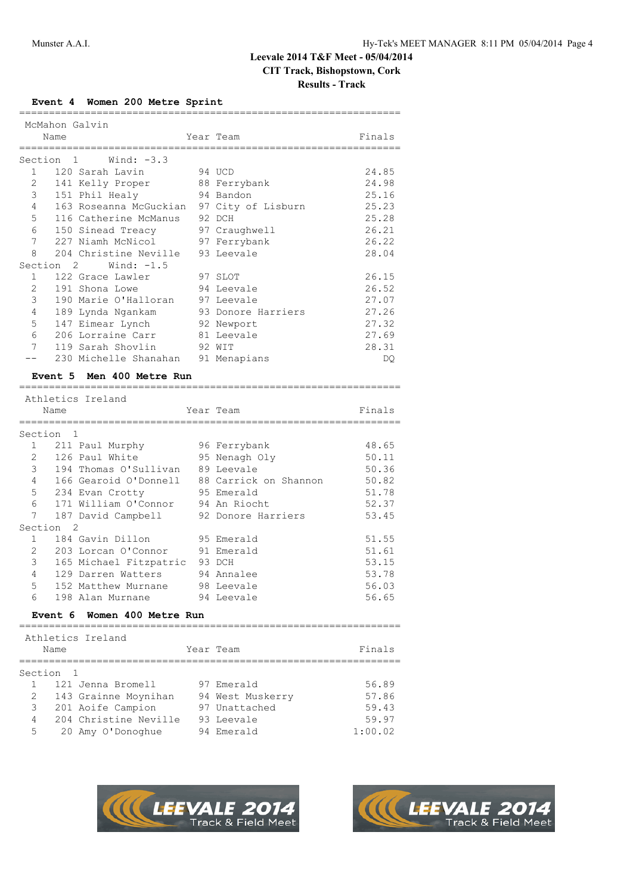#### **Results - Track**

#### **Event 4 Women 200 Metre Sprint**

|                |                | McMahon Galvin                            |                    |        |
|----------------|----------------|-------------------------------------------|--------------------|--------|
|                | Name           |                                           | Year Team          | Finals |
|                |                |                                           |                    |        |
| Section        | $\overline{1}$ | Wind: -3.3                                |                    |        |
| $\mathbf{1}$   |                | 120 Sarah Lavin                           | 94 UCD             | 24.85  |
| $\overline{2}$ |                | 141 Kelly Proper 88 Ferrybank             |                    | 24.98  |
| 3 <sup>7</sup> |                | 151 Phil Healy 94 Bandon                  |                    | 25.16  |
| $\overline{4}$ |                | 163 Roseanna McGuckian 97 City of Lisburn |                    | 25.23  |
| $5 -$          |                | 116 Catherine McManus                     | 92 DCH             | 25.28  |
| 6              |                | 150 Sinead Treacy 97 Craughwell           |                    | 26.21  |
| 7              |                | 227 Niamh McNicol 97 Ferrybank            |                    | 26.22  |
| 8              |                | 204 Christine Neville 93 Leevale          |                    | 28.04  |
| Section        | $\overline{2}$ | Wind: $-1.5$                              |                    |        |
| 1              |                | 122 Grace Lawler                          | 97 SLOT            | 26.15  |
| $\overline{2}$ |                | 191 Shona Lowe                            | 94 Leevale         | 26.52  |
| 3              |                | 190 Marie O'Halloran 97 Leevale           |                    | 27.07  |
| 4              |                | 189 Lynda Ngankam                         | 93 Donore Harriers | 27.26  |
| 5              |                | 147 Eimear Lynch 92 Newport               |                    | 27.32  |
| 6              |                | 206 Lorraine Carr 81 Leevale              |                    | 27.69  |
| 7              |                | 119 Sarah Shovlin                         | 92 WIT             | 28.31  |
|                |                | 230 Michelle Shanahan 91 Menapians        |                    | DO     |

#### **Event 5 Men 400 Metre Run**

|                 | Athletics Ireland                           |  |                    |                        |  |  |  |  |
|-----------------|---------------------------------------------|--|--------------------|------------------------|--|--|--|--|
|                 | Name                                        |  | Year Team          | Finals                 |  |  |  |  |
|                 | ;============================               |  |                    |                        |  |  |  |  |
| Section         | $\overline{1}$                              |  |                    |                        |  |  |  |  |
| $\mathbf{1}$    | 211 Paul Murphy                             |  | 96 Ferrybank       | 48.65                  |  |  |  |  |
| $\overline{2}$  | 126 Paul White                              |  | 95 Nenagh Oly      | 50.11                  |  |  |  |  |
| 3               | 194 Thomas O'Sullivan 89 Leevale            |  |                    | 50.36                  |  |  |  |  |
| $\overline{4}$  | 166 Gearoid O'Donnell 88 Carrick on Shannon |  |                    | 50.82                  |  |  |  |  |
| 5               | 234 Evan Crotty                             |  | 95 Emerald         | 51.78                  |  |  |  |  |
| 6               | 171 William O'Connor 94 An Riocht           |  |                    | 52.37                  |  |  |  |  |
| 7               | 187 David Campbell                          |  | 92 Donore Harriers | 53.45                  |  |  |  |  |
|                 | Section <sub>2</sub>                        |  |                    |                        |  |  |  |  |
| $\mathbf{1}$    | 184 Gavin Dillon                            |  | 95 Emerald         | 51.55                  |  |  |  |  |
| $\overline{2}$  | 203 Lorcan O'Connor 91 Emerald              |  |                    | 51.61                  |  |  |  |  |
| 3               | 165 Michael Fitzpatric 93 DCH               |  |                    | 53.15                  |  |  |  |  |
| 4               | 129 Darren Watters 94 Annalee               |  |                    | 53.78                  |  |  |  |  |
| 5               | 152 Matthew Murnane 98 Leevale              |  |                    | 56.03                  |  |  |  |  |
| $6\overline{6}$ | 198 Alan Murnane 594 Leevale                |  |                    | 56.65                  |  |  |  |  |
|                 | Women 400 Metre Run<br>Event 6              |  |                    |                        |  |  |  |  |
|                 | Athletics Ireland                           |  |                    |                        |  |  |  |  |
|                 | Name                                        |  | Year Team          | Finals                 |  |  |  |  |
|                 | =================                           |  |                    |                        |  |  |  |  |
| Section         | - 1                                         |  |                    | $\Gamma$ $\cap$ $\cap$ |  |  |  |  |

|   | 1 121 Jenna Bromell   | 97 Emerald       | 56.89   |
|---|-----------------------|------------------|---------|
| 2 | 143 Grainne Moynihan  | 94 West Muskerry | 57.86   |
|   | 3 201 Aoife Campion   | 97 Unattached    | 59.43   |
| 4 | 204 Christine Neville | 93 Leevale       | 59.97   |
| 5 | 20 Amy O'Donoghue     | 94 Emerald       | 1:00.02 |



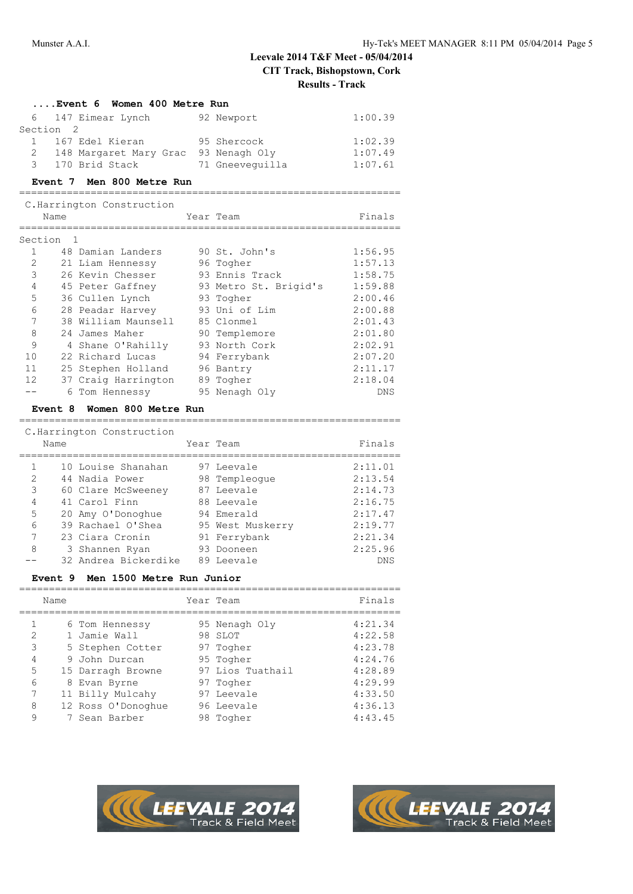| Women 400 Metre Run<br>Event 6 |    |                                      |  |                                        |            |  |
|--------------------------------|----|--------------------------------------|--|----------------------------------------|------------|--|
| 6                              |    | 147 Eimear Lynch                     |  | 92 Newport                             | 1:00.39    |  |
| Section <sub>2</sub>           |    |                                      |  |                                        |            |  |
|                                |    | 1 167 Edel Kieran                    |  | 95 Shercock                            | 1:02.39    |  |
| $\overline{2}$                 |    | 148 Margaret Mary Grac 93 Nenagh Oly |  |                                        | 1:07.49    |  |
| $\mathcal{B}$                  |    | 170 Brid Stack                       |  | 71 Gneeveguilla                        | 1:07.61    |  |
| Event 7                        |    | Men 800 Metre Run                    |  |                                        |            |  |
|                                |    | C. Harrington Construction           |  |                                        |            |  |
| Name                           |    |                                      |  | Year Team                              | Finals     |  |
| Section                        | -1 |                                      |  |                                        |            |  |
| $\mathbf{1}$                   |    | 48 Damian Landers                    |  | 90 St. John's                          | 1:56.95    |  |
| $\overline{2}$                 |    | 21 Liam Hennessy                     |  | 96 Togher                              | 1:57.13    |  |
| 3                              |    | 26 Kevin Chesser                     |  | 93 Ennis Track                         | 1:58.75    |  |
| 4                              |    |                                      |  | 45 Peter Gaffney 93 Metro St. Brigid's | 1:59.88    |  |
| 5                              |    | 36 Cullen Lynch                      |  | 93 Togher                              | 2:00.46    |  |
| 6                              |    | 28 Peadar Harvey                     |  | 93 Uni of Lim                          | 2:00.88    |  |
| 7                              |    | 38 William Maunsell                  |  | 85 Clonmel                             | 2:01.43    |  |
| 8                              |    | 24 James Maher                       |  | 90 Templemore                          | 2:01.80    |  |
| 9                              |    | 4 Shane O'Rahilly                    |  | 93 North Cork                          | 2:02.91    |  |
| 10                             |    | 22 Richard Lucas                     |  | 94 Ferrybank                           | 2:07.20    |  |
| 11                             |    | 25 Stephen Holland                   |  | 96 Bantry                              | 2:11.17    |  |
| 12                             |    | 37 Craig Harrington                  |  | 89 Togher                              | 2:18.04    |  |
|                                |    | 6 Tom Hennessy                       |  | 95 Nenagh Oly                          | <b>DNS</b> |  |

#### **Event 8 Women 800 Metre Run** ================================================================

| C. Harrington Construction |      |                      |  |                  |            |  |
|----------------------------|------|----------------------|--|------------------|------------|--|
|                            | Name |                      |  | Year Team        | Finals     |  |
|                            |      |                      |  |                  |            |  |
|                            |      | 10 Louise Shanahan   |  | 97 Leevale       | 2:11.01    |  |
| 2                          |      | 44 Nadia Power       |  | 98 Templeoque    | 2:13.54    |  |
| 3                          |      | 60 Clare McSweeney   |  | 87 Leevale       | 2:14.73    |  |
| 4                          |      | 41 Carol Finn        |  | 88 Leevale       | 2:16.75    |  |
| 5                          |      | 20 Amy O'Donoghue    |  | 94 Emerald       | 2:17.47    |  |
| 6                          |      | 39 Rachael O'Shea    |  | 95 West Muskerry | 2:19.77    |  |
| 7                          |      | 23 Ciara Cronin      |  | 91 Ferrybank     | 2:21.34    |  |
| 8                          |      | 3 Shannen Ryan       |  | 93 Dooneen       | 2:25.96    |  |
|                            |      | 32 Andrea Bickerdike |  | 89 Leevale       | <b>DNS</b> |  |

#### **Event 9 Men 1500 Metre Run Junior**

|               | Name |                    | Year Team        | Finals  |
|---------------|------|--------------------|------------------|---------|
|               |      | 6 Tom Hennessy     | 95 Nenagh Oly    | 4:21.34 |
| $\mathcal{D}$ |      | 1 Jamie Wall       | 98 SLOT          | 4:22.58 |
| 3             |      | 5 Stephen Cotter   | 97 Togher        | 4:23.78 |
| 4             |      | 9 John Durcan      | 95 Togher        | 4:24.76 |
| 5             |      | 15 Darragh Browne  | 97 Lios Tuathail | 4:28.89 |
| 6             |      | 8 Evan Byrne       | 97 Togher        | 4:29.99 |
|               |      | 11 Billy Mulcahy   | 97 Leevale       | 4:33.50 |
| 8             |      | 12 Ross O'Donoghue | 96 Leevale       | 4:36.13 |
| 9             |      | 7 Sean Barber      | 98 Togher        | 4:43.45 |



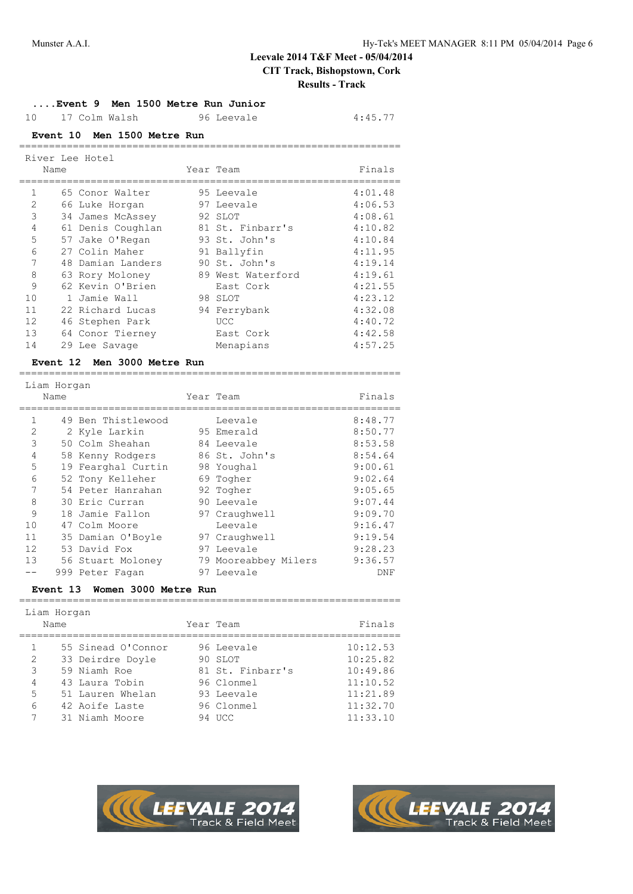### **....Event 9 Men 1500 Metre Run Junior** 10 17 Colm Walsh 96 Leevale 4:45.77 **Event 10 Men 1500 Metre Run** ================================================================ River Lee Hotel Name Year Team Finals ================================================================ 1 65 Conor Walter 95 Leevale 4:01.48 2 66 Luke Horgan 97 Leevale 4:06.53 3 34 James McAssey 92 SLOT 4:08.61 4 61 Denis Coughlan 81 St. Finbarr's 4:10.82 5 57 Jake O'Regan 93 St. John's 4:10.84 6 27 Colin Maher 91 Ballyfin 4:11.95 7 48 Damian Landers 90 St. John's 4:19.14 8 63 Rory Moloney 89 West Waterford 4:19.61 9 62 Kevin O'Brien East Cork 4:21.55 10 1 Jamie Wall 98 SLOT 4:23.12 11 22 Richard Lucas 94 Ferrybank 4:32.08 10 1 Jamie Wall<br>
22 Richard Lucas 94 Ferrybank 4:32.08<br>
12 46 Stephen Park UCC 4:40.72<br>
13 64 Conor Tierney East Cork 4:42.58 13 64 Conor Tierney East Cork 4:42.58 14 29 Lee Savage Menapians 4:57.25 **Event 12 Men 3000 Metre Run** ================================================================ Liam Horgan Name **Year Team Year Team** Finals ================================================================ 1 49 Ben Thistlewood Leevale 8:48.77 2 2 Kyle Larkin 95 Emerald 8:50.77 3 50 Colm Sheahan 84 Leevale 8:53.58 4 58 Kenny Rodgers 86 St. John's 8:54.64 5 19 Fearghal Curtin 98 Youghal 9:00.61 6 52 Tony Kelleher 69 Togher 9:02.64 7 54 Peter Hanrahan 92 Togher 9:05.65 8 30 Eric Curran 90 Leevale 9:07.44 9 18 Jamie Fallon 97 Craughwell 9:09.70 10 47 Colm Moore Leevale 9:16.47 11 35 Damian O'Boyle 97 Craughwell 9:19.54 12 53 David Fox 97 Leevale 9:28.23 13 56 Stuart Moloney 79 Mooreabbey Milers 9:36.57 -- 999 Peter Fagan 97 Leevale DNF **Event 13 Women 3000 Metre Run** ================================================================ Liam Horgan Name **Name** Year Team **Finals** ================================================================ 55 Sinead O'Connor 96 Leevale 10:12.53





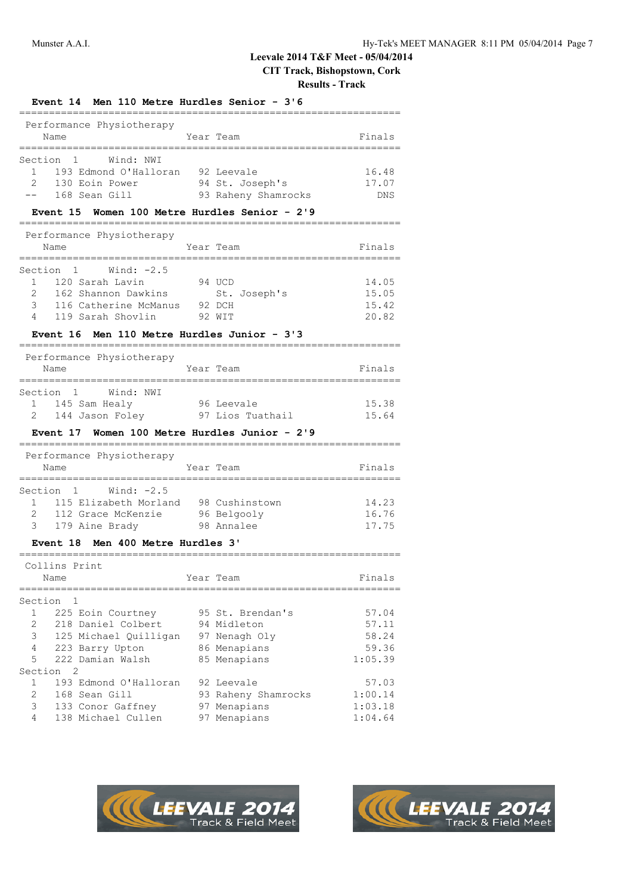**Results - Track**

| Event 14 Men 110 Metre Hurdles Senior - 3'6                                                                                                                                                          |        |                                                                                  |                                             |  |
|------------------------------------------------------------------------------------------------------------------------------------------------------------------------------------------------------|--------|----------------------------------------------------------------------------------|---------------------------------------------|--|
| Performance Physiotherapy<br>Name<br>===========                                                                                                                                                     |        | Year Team                                                                        | Finals                                      |  |
| Section<br>$\mathbf{1}$<br>Wind: NWI<br>193 Edmond O'Halloran 92 Leevale<br>$\mathbf{1}$<br>$\mathfrak{D}$<br>130 Eoin Power<br>168 Sean Gill<br>Event 15                                            |        | 94 St. Joseph's<br>93 Raheny Shamrocks<br>Women 100 Metre Hurdles Senior - 2'9   | 16.48<br>17.07<br>DNS                       |  |
| ____________________________________                                                                                                                                                                 |        |                                                                                  |                                             |  |
| Performance Physiotherapy<br>Name                                                                                                                                                                    |        | Year Team                                                                        | Finals                                      |  |
| Wind: $-2.5$<br>Section<br>1<br>120 Sarah Lavin<br>$\mathbf{1}$<br>2<br>162 Shannon Dawkins<br>3<br>116 Catherine McManus<br>119 Sarah Shovlin<br>4<br><b>Event 16</b>                               | 92 DCH | 94 UCD<br>St. Joseph's<br>92 WIT<br>Men 110 Metre Hurdles Junior - 3'3           | 14.05<br>15.05<br>15.42<br>20.82            |  |
|                                                                                                                                                                                                      |        |                                                                                  |                                             |  |
| Performance Physiotherapy<br>Name<br>__________                                                                                                                                                      |        | Year Team                                                                        | Finals                                      |  |
| Section<br>$\mathbf{1}$<br>Wind: NWI<br>1 145 Sam Healy<br>96 Leevale<br>144 Jason Foley 97 Lios Tuathail<br>2<br>Event 17 Women 100 Metre Hurdles Junior - 2'9                                      |        |                                                                                  | 15.38<br>15.64                              |  |
| =========<br>Performance Physiotherapy<br>Name                                                                                                                                                       |        | Year Team                                                                        | Finals                                      |  |
| 1 Wind: -2.5<br>Section<br>115 Elizabeth Morland 98 Cushinstown<br>$1 \quad$<br>112 Grace McKenzie 96 Belgooly<br>2<br>3<br>179 Aine Brady                                                           |        | 98 Annalee                                                                       | 14.23<br>16.76<br>17.75                     |  |
| Men 400 Metre Hurdles 3'<br><b>Event 18</b><br>===============                                                                                                                                       |        |                                                                                  |                                             |  |
| Collins Print<br>Name                                                                                                                                                                                |        | Year Team                                                                        | Finals                                      |  |
| ========<br>Section<br>1<br>$\mathbf{1}$<br>225 Eoin Courtney<br>2<br>218 Daniel Colbert<br>3<br>125 Michael Quilligan<br>4<br>223 Barry Upton<br>5<br>222 Damian Walsh<br>$\overline{2}$<br>Section |        | 95 St. Brendan's<br>94 Midleton<br>97 Nenagh Oly<br>86 Menapians<br>85 Menapians | 57.04<br>57.11<br>58.24<br>59.36<br>1:05.39 |  |
| $\mathbf{1}$<br>193 Edmond O'Halloran<br>2<br>168 Sean Gill<br>3<br>133 Conor Gaffney<br>4<br>138 Michael Cullen                                                                                     |        | 92 Leevale<br>93 Raheny Shamrocks<br>97 Menapians<br>97 Menapians                | 57.03<br>1:00.14<br>1:03.18<br>1:04.64      |  |